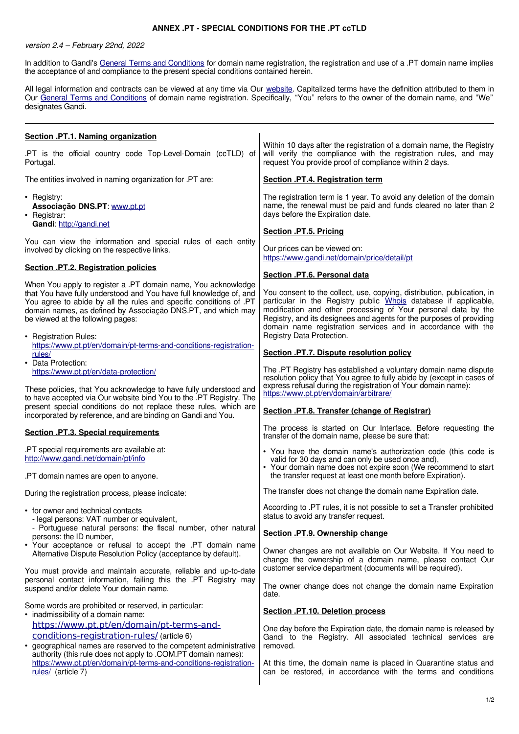## **ANNEX .PT - SPECIAL CONDITIONS FOR THE .PT ccTLD**

## version 2.4 – February 22nd, 2022

In addition to Gandi's [General Terms and Conditions](http://www.gandi.net/contracts) for domain name registration, the registration and use of a .PT domain name implies the acceptance of and compliance to the present special conditions contained herein.

All legal information and contracts can be viewed at any time via Our [website.](http://www.gandi.net/) Capitalized terms have the definition attributed to them in Our [General Terms and Conditions](http://www.gandi.net/contracts) of domain name registration. Specifically, "You" refers to the owner of the domain name, and "We" designates Gandi.

| Section .PT.1. Naming organization                                                                                                                                                                                                                                                                                                      |                                                                                                                                                                                                                                                                                                                                                                                   |
|-----------------------------------------------------------------------------------------------------------------------------------------------------------------------------------------------------------------------------------------------------------------------------------------------------------------------------------------|-----------------------------------------------------------------------------------------------------------------------------------------------------------------------------------------------------------------------------------------------------------------------------------------------------------------------------------------------------------------------------------|
| .PT is the official country code Top-Level-Domain (ccTLD) of<br>Portugal.                                                                                                                                                                                                                                                               | Within 10 days after the registration of a domain name, the Registry<br>will verify the compliance with the registration rules, and may<br>request You provide proof of compliance within 2 days.                                                                                                                                                                                 |
| The entities involved in naming organization for .PT are:                                                                                                                                                                                                                                                                               | Section .PT.4. Registration term                                                                                                                                                                                                                                                                                                                                                  |
| • Registry:<br>Associação DNS.PT: www.pt.pt<br>• Registrar:                                                                                                                                                                                                                                                                             | The registration term is 1 year. To avoid any deletion of the domain<br>name, the renewal must be paid and funds cleared no later than 2<br>days before the Expiration date.                                                                                                                                                                                                      |
| Gandi: http://gandi.net                                                                                                                                                                                                                                                                                                                 | Section .PT.5. Pricing                                                                                                                                                                                                                                                                                                                                                            |
| You can view the information and special rules of each entity<br>involved by clicking on the respective links.                                                                                                                                                                                                                          | Our prices can be viewed on:<br>https://www.gandi.net/domain/price/detail/pt                                                                                                                                                                                                                                                                                                      |
| <b>Section .PT.2. Registration policies</b>                                                                                                                                                                                                                                                                                             | Section .PT.6. Personal data                                                                                                                                                                                                                                                                                                                                                      |
| When You apply to register a .PT domain name, You acknowledge<br>that You have fully understood and You have full knowledge of, and<br>You agree to abide by all the rules and specific conditions of .PT<br>domain names, as defined by Associação DNS.PT, and which may<br>be viewed at the following pages:<br>• Registration Rules: | You consent to the collect, use, copying, distribution, publication, in<br>particular in the Registry public Whois database if applicable,<br>modification and other processing of Your personal data by the<br>Registry, and its designees and agents for the purposes of providing<br>domain name registration services and in accordance with the<br>Registry Data Protection. |
| https://www.pt.pt/en/domain/pt-terms-and-conditions-registration-<br>rules/                                                                                                                                                                                                                                                             | Section .PT.7. Dispute resolution policy                                                                                                                                                                                                                                                                                                                                          |
| • Data Protection:<br>https://www.pt.pt/en/data-protection/<br>These policies, that You acknowledge to have fully understood and                                                                                                                                                                                                        | The .PT Registry has established a voluntary domain name dispute<br>resolution policy that You agree to fully abide by (except in cases of<br>express refusal during the registration of Your domain name):<br>https://www.pt.pt/en/domain/arbitrare/                                                                                                                             |
| to have accepted via Our website bind You to the .PT Registry. The<br>present special conditions do not replace these rules, which are<br>incorporated by reference, and are binding on Gandi and You.                                                                                                                                  | Section .PT.8. Transfer (change of Registrar)                                                                                                                                                                                                                                                                                                                                     |
| <b>Section .PT.3. Special requirements</b>                                                                                                                                                                                                                                                                                              | The process is started on Our Interface. Before requesting the<br>transfer of the domain name, please be sure that:                                                                                                                                                                                                                                                               |
| .PT special requirements are available at:<br>http://www.gandi.net/domain/pt/info<br>.PT domain names are open to anyone.                                                                                                                                                                                                               | • You have the domain name's authorization code (this code is<br>valid for 30 days and can only be used once and),<br>• Your domain name does not expire soon (We recommend to start<br>the transfer request at least one month before Expiration).                                                                                                                               |
|                                                                                                                                                                                                                                                                                                                                         | The transfer does not change the domain name Expiration date.                                                                                                                                                                                                                                                                                                                     |
| During the registration process, please indicate:<br>• for owner and technical contacts                                                                                                                                                                                                                                                 | According to .PT rules, it is not possible to set a Transfer prohibited<br>status to avoid any transfer request.                                                                                                                                                                                                                                                                  |
| - legal persons: VAT number or equivalent,<br>- Portuguese natural persons: the fiscal number, other natural<br>persons: the ID number,                                                                                                                                                                                                 | Section .PT.9. Ownership change                                                                                                                                                                                                                                                                                                                                                   |
| • Your acceptance or refusal to accept the .PT domain name<br>Alternative Dispute Resolution Policy (acceptance by default).                                                                                                                                                                                                            | Owner changes are not available on Our Website. If You need to<br>change the ownership of a domain name, please contact Our                                                                                                                                                                                                                                                       |
| You must provide and maintain accurate, reliable and up-to-date<br>personal contact information, failing this the .PT Registry may<br>suspend and/or delete Your domain name.                                                                                                                                                           | customer service department (documents will be required).<br>The owner change does not change the domain name Expiration<br>date.                                                                                                                                                                                                                                                 |
| Some words are prohibited or reserved, in particular:<br>• inadmissibility of a domain name:                                                                                                                                                                                                                                            | <b>Section .PT.10. Deletion process</b>                                                                                                                                                                                                                                                                                                                                           |
| https://www.pt.pt/en/domain/pt-terms-and-                                                                                                                                                                                                                                                                                               | One day before the Expiration date, the domain name is released by                                                                                                                                                                                                                                                                                                                |
| conditions-registration-rules/ (article 6)<br>• geographical names are reserved to the competent administrative<br>authority (this rule does not apply to .COM.PT domain names):<br>https://www.pt.pt/en/domain/pt-terms-and-conditions-registration-                                                                                   | Gandi to the Registry. All associated technical services are<br>removed.                                                                                                                                                                                                                                                                                                          |
| rules/ (article 7)                                                                                                                                                                                                                                                                                                                      | At this time, the domain name is placed in Quarantine status and<br>can be restored, in accordance with the terms and conditions                                                                                                                                                                                                                                                  |